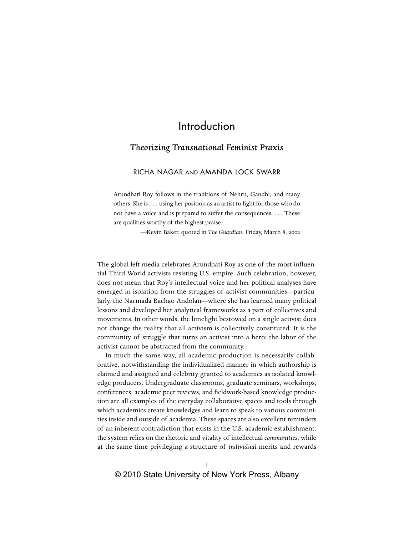# *Theorizing Transnational Feminist Praxis*

# RICHA NAGAR AND AMANDA LOCK SWARR

Arundhati Roy follows in the traditions of Nehru, Gandhi, and many others. She is . . . using her position as an artist to fight for those who do not have a voice and is prepared to suffer the consequences. . . . These are qualities worthy of the highest praise.

*—*Kevin Baker, quoted in *The Guardian*, Friday, March 8, 2002

The global left media celebrates Arundhati Roy as one of the most influential Third World activists resisting U.S. empire. Such celebration, however, does not mean that Roy's intellectual voice and her political analyses have emerged in isolation from the struggles of activist communities—particularly, the Narmada Bachao Andolan—where she has learned many political lessons and developed her analytical frameworks as a part of collectives and movements. In other words, the limelight bestowed on a single activist does not change the reality that all activism is collectively constituted. It is the community of struggle that turns an activist into a hero; the labor of the activist cannot be abstracted from the community.

In much the same way, all academic production is necessarily collaborative, notwithstanding the individualized manner in which authorship is claimed and assigned and celebrity granted to academics as isolated knowledge producers. Undergraduate classrooms, graduate seminars, workshops, conferences, academic peer reviews, and fieldwork-based knowledge production are all examples of the everyday collaborative spaces and tools through which academics create knowledges and learn to speak to various communities inside and outside of academia. These spaces are also excellent reminders of an inherent contradiction that exists in the U.S. academic establishment: the system relies on the rhetoric and vitality of intellectual *communities*, while at the same time privileging a structure of *individual* merits and rewards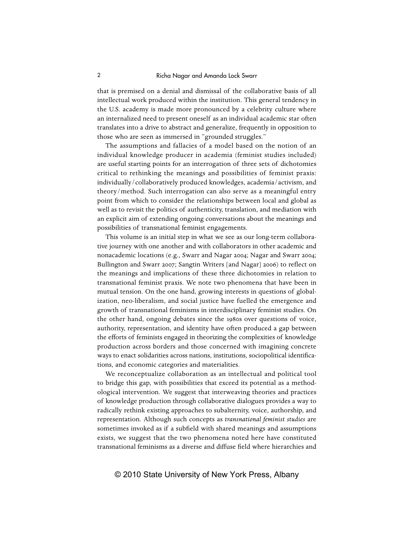that is premised on a denial and dismissal of the collaborative basis of all intellectual work produced within the institution. This general tendency in the U.S. academy is made more pronounced by a celebrity culture where an internalized need to present oneself as an individual academic star often translates into a drive to abstract and generalize, frequently in opposition to those who are seen as immersed in "grounded struggles."

The assumptions and fallacies of a model based on the notion of an individual knowledge producer in academia (feminist studies included) are useful starting points for an interrogation of three sets of dichotomies critical to rethinking the meanings and possibilities of feminist praxis: individually/collaboratively produced knowledges, academia/activism, and theory/method. Such interrogation can also serve as a meaningful entry point from which to consider the relationships between local and global as well as to revisit the politics of authenticity, translation, and mediation with an explicit aim of extending ongoing conversations about the meanings and possibilities of transnational feminist engagements.

This volume is an initial step in what we see as our long-term collaborative journey with one another and with collaborators in other academic and nonacademic locations (e.g., Swarr and Nagar 2004; Nagar and Swarr 2004; Bullington and Swarr 2007; Sangtin Writers [and Nagar] 2006) to reflect on the meanings and implications of these three dichotomies in relation to transnational feminist praxis. We note two phenomena that have been in mutual tension. On the one hand, growing interests in questions of globalization, neo-liberalism, and social justice have fuelled the emergence and growth of transnational feminisms in interdisciplinary feminist studies. On the other hand, ongoing debates since the 1980s over questions of voice, authority, representation, and identity have often produced a gap between the efforts of feminists engaged in theorizing the complexities of knowledge production across borders and those concerned with imagining concrete ways to enact solidarities across nations, institutions, sociopolitical identifications, and economic categories and materialities.

We reconceptualize collaboration as an intellectual and political tool to bridge this gap, with possibilities that exceed its potential as a methodological intervention. We suggest that interweaving theories and practices of knowledge production through collaborative dialogues provides a way to radically rethink existing approaches to subalternity, voice, authorship, and representation. Although such concepts as *transnational feminist studies* are sometimes invoked as if a subfield with shared meanings and assumptions exists, we suggest that the two phenomena noted here have constituted transnational feminisms as a diverse and diffuse field where hierarchies and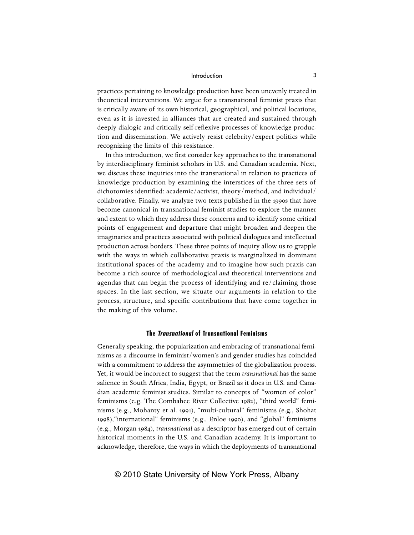practices pertaining to knowledge production have been unevenly treated in theoretical interventions. We argue for a transnational feminist praxis that is critically aware of its own historical, geographical, and political locations, even as it is invested in alliances that are created and sustained through deeply dialogic and critically self-reflexive processes of knowledge production and dissemination. We actively resist celebrity/expert politics while recognizing the limits of this resistance.

In this introduction, we first consider key approaches to the transnational by interdisciplinary feminist scholars in U.S. and Canadian academia. Next, we discuss these inquiries into the transnational in relation to practices of knowledge production by examining the interstices of the three sets of dichotomies identified: academic/activist, theory/method, and individual/ collaborative. Finally, we analyze two texts published in the 1990s that have become canonical in transnational feminist studies to explore the manner and extent to which they address these concerns and to identify some critical points of engagement and departure that might broaden and deepen the imaginaries and practices associated with political dialogues and intellectual production across borders. These three points of inquiry allow us to grapple with the ways in which collaborative praxis is marginalized in dominant institutional spaces of the academy and to imagine how such praxis can become a rich source of methodological *and* theoretical interventions and agendas that can begin the process of identifying and re/claiming those spaces. In the last section, we situate our arguments in relation to the process, structure, and specific contributions that have come together in the making of this volume.

#### **The** *Transnational* **of Transnational Feminisms**

Generally speaking, the popularization and embracing of transnational feminisms as a discourse in feminist/women's and gender studies has coincided with a commitment to address the asymmetries of the globalization process. Yet, it would be incorrect to suggest that the term *transnational* has the same salience in South Africa, India, Egypt, or Brazil as it does in U.S. and Canadian academic feminist studies. Similar to concepts of "women of color" feminisms (e.g. The Combahee River Collective 1982), "third world" feminisms (e.g., Mohanty et al. 1991), "multi-cultural" feminisms (e.g., Shohat 1998), "international" feminisms (e.g., Enloe 1990), and "global" feminisms (e.g., Morgan -984), *transnational* as a descriptor has emerged out of certain historical moments in the U.S. and Canadian academy. It is important to acknowledge, therefore, the ways in which the deployments of transnational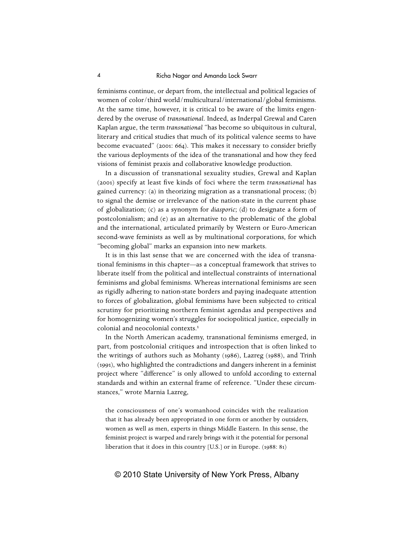feminisms continue, or depart from, the intellectual and political legacies of women of color/third world/multicultural/international/global feminisms. At the same time, however, it is critical to be aware of the limits engendered by the overuse of *transnational*. Indeed, as Inderpal Grewal and Caren Kaplan argue, the term *transnational* "has become so ubiquitous in cultural, literary and critical studies that much of its political valence seems to have become evacuated" (2001: 664). This makes it necessary to consider briefly the various deployments of the idea of the transnational and how they feed visions of feminist praxis and collaborative knowledge production.

In a discussion of transnational sexuality studies, Grewal and Kaplan (2001) specify at least five kinds of foci where the term *transnational* has gained currency: (a) in theorizing migration as a transnational process; (b) to signal the demise or irrelevance of the nation-state in the current phase of globalization; (c) as a synonym for *diasporic*; (d) to designate a form of postcolonialism; and (e) as an alternative to the problematic of the global and the international, articulated primarily by Western or Euro-American second-wave feminists as well as by multinational corporations, for which "becoming global" marks an expansion into new markets.

It is in this last sense that we are concerned with the idea of transnational feminisms in this chapter—as a conceptual framework that strives to liberate itself from the political and intellectual constraints of international feminisms and global feminisms. Whereas international feminisms are seen as rigidly adhering to nation-state borders and paying inadequate attention to forces of globalization, global feminisms have been subjected to critical scrutiny for prioritizing northern feminist agendas and perspectives and for homogenizing women's struggles for sociopolitical justice, especially in colonial and neocolonial contexts.<sup>1</sup>

In the North American academy, transnational feminisms emerged, in part, from postcolonial critiques and introspection that is often linked to the writings of authors such as Mohanty (1986), Lazreg (1988), and Trinh (1991), who highlighted the contradictions and dangers inherent in a feminist project where "difference" is only allowed to unfold according to external standards and within an external frame of reference. "Under these circumstances," wrote Marnia Lazreg,

the consciousness of one's womanhood coincides with the realization that it has already been appropriated in one form or another by outsiders, women as well as men, experts in things Middle Eastern. In this sense, the feminist project is warped and rarely brings with it the potential for personal liberation that it does in this country [U.S.] or in Europe. (1988: 81)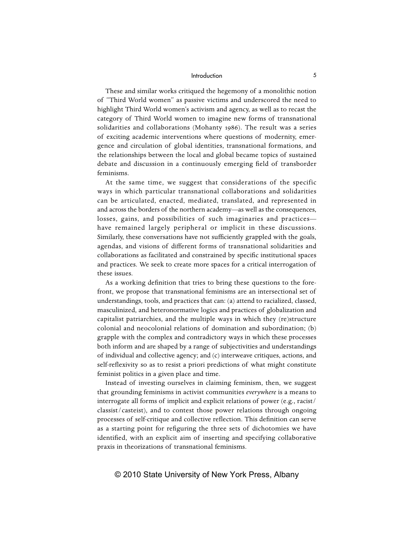These and similar works critiqued the hegemony of a monolithic notion of "Third World women" as passive victims and underscored the need to highlight Third World women's activism and agency, as well as to recast the category of Third World women to imagine new forms of transnational solidarities and collaborations (Mohanty 1986). The result was a series of exciting academic interventions where questions of modernity, emergence and circulation of global identities, transnational formations, and the relationships between the local and global became topics of sustained debate and discussion in a continuously emerging field of transborder feminisms.

At the same time, we suggest that considerations of the specific ways in which particular transnational collaborations and solidarities can be articulated, enacted, mediated, translated, and represented in and across the borders of the northern academy—as well as the consequences, losses, gains, and possibilities of such imaginaries and practices have remained largely peripheral or implicit in these discussions. Similarly, these conversations have not sufficiently grappled with the goals, agendas, and visions of different forms of transnational solidarities and collaborations as facilitated and constrained by specific institutional spaces and practices. We seek to create more spaces for a critical interrogation of these issues.

As a working definition that tries to bring these questions to the forefront, we propose that transnational feminisms are an intersectional set of understandings, tools, and practices that can: (a) attend to racialized, classed, masculinized, and heteronormative logics and practices of globalization and capitalist patriarchies, and the multiple ways in which they (re)structure colonial and neocolonial relations of domination and subordination; (b) grapple with the complex and contradictory ways in which these processes both inform and are shaped by a range of subjectivities and understandings of individual and collective agency; and (c) interweave critiques, actions, and self-reflexivity so as to resist a priori predictions of what might constitute feminist politics in a given place and time.

Instead of investing ourselves in claiming feminism, then, we suggest that grounding feminisms in activist communities *everywhere* is a means to interrogate all forms of implicit and explicit relations of power (e.g., racist/ classist/casteist), and to contest those power relations through ongoing processes of self-critique and collective reflection. This definition can serve as a starting point for refiguring the three sets of dichotomies we have identified, with an explicit aim of inserting and specifying collaborative praxis in theorizations of transnational feminisms.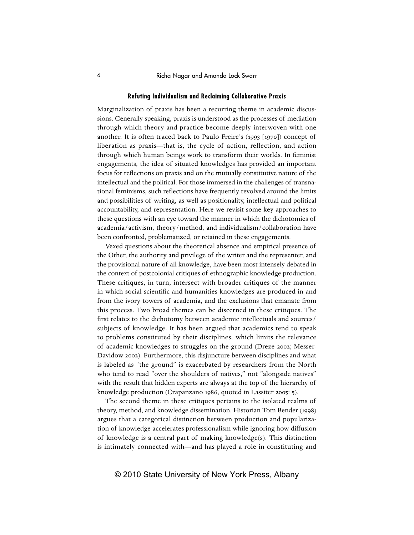#### **Refuting Individualism and Reclaiming Collaborative Praxis**

Marginalization of praxis has been a recurring theme in academic discussions. Generally speaking, praxis is understood as the processes of mediation through which theory and practice become deeply interwoven with one another. It is often traced back to Paulo Freire's (1993 [1970]) concept of liberation as praxis—that is, the cycle of action, reflection, and action through which human beings work to transform their worlds. In feminist engagements, the idea of situated knowledges has provided an important focus for reflections on praxis and on the mutually constitutive nature of the intellectual and the political. For those immersed in the challenges of transnational feminisms, such reflections have frequently revolved around the limits and possibilities of writing, as well as positionality, intellectual and political accountability, and representation. Here we revisit some key approaches to these questions with an eye toward the manner in which the dichotomies of academia/activism, theory/method, and individualism/collaboration have been confronted, problematized, or retained in these engagements.

Vexed questions about the theoretical absence and empirical presence of the Other, the authority and privilege of the writer and the representer, and the provisional nature of all knowledge, have been most intensely debated in the context of postcolonial critiques of ethnographic knowledge production. These critiques, in turn, intersect with broader critiques of the manner in which social scientific and humanities knowledges are produced in and from the ivory towers of academia, and the exclusions that emanate from this process. Two broad themes can be discerned in these critiques. The first relates to the dichotomy between academic intellectuals and sources/ subjects of knowledge. It has been argued that academics tend to speak to problems constituted by their disciplines, which limits the relevance of academic knowledges to struggles on the ground (Dreze 2002; Messer-Davidow 2002). Furthermore, this disjuncture between disciplines and what is labeled as "the ground" is exacerbated by researchers from the North who tend to read "over the shoulders of natives," not "alongside natives" with the result that hidden experts are always at the top of the hierarchy of knowledge production (Crapanzano 1986, quoted in Lassiter 2005: 5).

The second theme in these critiques pertains to the isolated realms of theory, method, and knowledge dissemination. Historian Tom Bender (1998) argues that a categorical distinction between production and popularization of knowledge accelerates professionalism while ignoring how diffusion of knowledge is a central part of making knowledge(s). This distinction is intimately connected with—and has played a role in constituting and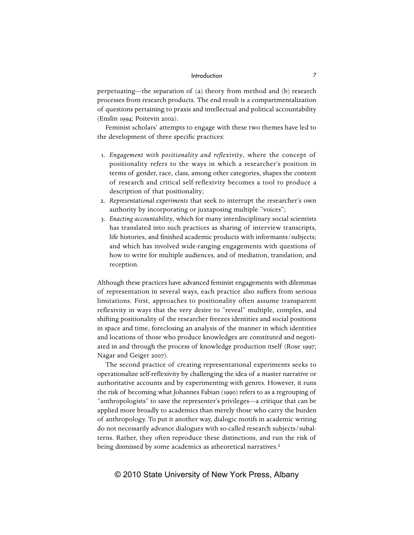perpetuating—the separation of (a) theory from method and (b) research processes from research products. The end result is a compartmentalization of questions pertaining to praxis and intellectual and political accountability (Enslin 1994; Poitevin 2002).

Feminist scholars' attempts to engage with these two themes have led to the development of three specific practices:

- -. *Engagement with positionality and reflexivity*, where the concept of positionality refers to the ways in which a researcher's position in terms of gender, race, class, among other categories, shapes the content of research and critical self-reflexivity becomes a tool to produce a description of that positionality;
- 2. *Representational experiments* that seek to interrupt the researcher's own authority by incorporating or juxtaposing multiple "voices";
- 3. *Enacting accountability*, which for many interdisciplinary social scientists has translated into such practices as sharing of interview transcripts, life histories, and finished academic products with informants/subjects; and which has involved wide-ranging engagements with questions of how to write for multiple audiences, and of mediation, translation, and reception.

Although these practices have advanced feminist engagements with dilemmas of representation in several ways, each practice also suffers from serious limitations. First, approaches to positionality often assume transparent reflexivity in ways that the very desire to "reveal" multiple, complex, and shifting positionality of the researcher freezes identities and social positions in space and time, foreclosing an analysis of the manner in which identities and locations of those who produce knowledges are constituted and negotiated in and through the process of knowledge production itself (Rose 1997; Nagar and Geiger 2007).

The second practice of creating representational experiments seeks to operationalize self-reflexivity by challenging the idea of a master narrative or authoritative accounts and by experimenting with genres. However, it runs the risk of becoming what Johannes Fabian (1990) refers to as a regrouping of "anthropologists" to save the representer's privileges—a critique that can be applied more broadly to academics than merely those who carry the burden of anthropology. To put it another way, dialogic motifs in academic writing do not necessarily advance dialogues with so-called research subjects/subalterns. Rather, they often reproduce these distinctions, and run the risk of being dismissed by some academics as atheoretical narratives.<sup>2</sup>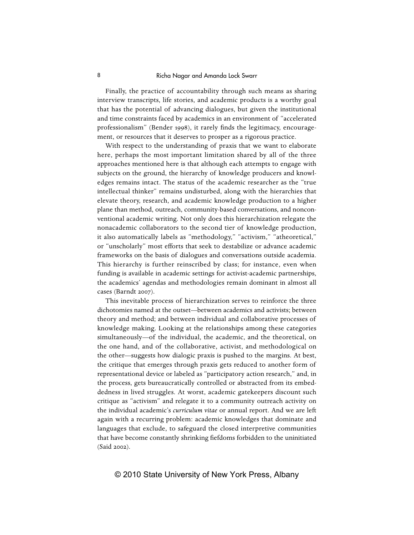Finally, the practice of accountability through such means as sharing interview transcripts, life stories, and academic products is a worthy goal that has the potential of advancing dialogues, but given the institutional and time constraints faced by academics in an environment of "accelerated professionalism" (Bender 1998), it rarely finds the legitimacy, encouragement, or resources that it deserves to prosper as a rigorous practice.

With respect to the understanding of praxis that we want to elaborate here, perhaps the most important limitation shared by all of the three approaches mentioned here is that although each attempts to engage with subjects on the ground, the hierarchy of knowledge producers and knowledges remains intact. The status of the academic researcher as the "true intellectual thinker" remains undisturbed, along with the hierarchies that elevate theory, research, and academic knowledge production to a higher plane than method, outreach, community-based conversations, and nonconventional academic writing. Not only does this hierarchization relegate the nonacademic collaborators to the second tier of knowledge production, it also automatically labels as "methodology," "activism," "atheoretical," or "unscholarly" most efforts that seek to destabilize or advance academic frameworks on the basis of dialogues and conversations outside academia. This hierarchy is further reinscribed by class; for instance, even when funding is available in academic settings for activist-academic partnerships, the academics' agendas and methodologies remain dominant in almost all cases (Barndt 2007).

This inevitable process of hierarchization serves to reinforce the three dichotomies named at the outset—between academics and activists; between theory and method; and between individual and collaborative processes of knowledge making. Looking at the relationships among these categories simultaneously—of the individual, the academic, and the theoretical, on the one hand, and of the collaborative, activist, and methodological on the other—suggests how dialogic praxis is pushed to the margins. At best, the critique that emerges through praxis gets reduced to another form of representational device or labeled as "participatory action research," and, in the process, gets bureaucratically controlled or abstracted from its embeddedness in lived struggles. At worst, academic gatekeepers discount such critique as "activism" and relegate it to a community outreach activity on the individual academic's *curriculum vitae* or annual report. And we are left again with a recurring problem: academic knowledges that dominate and languages that exclude, to safeguard the closed interpretive communities that have become constantly shrinking fiefdoms forbidden to the uninitiated (Said 2002).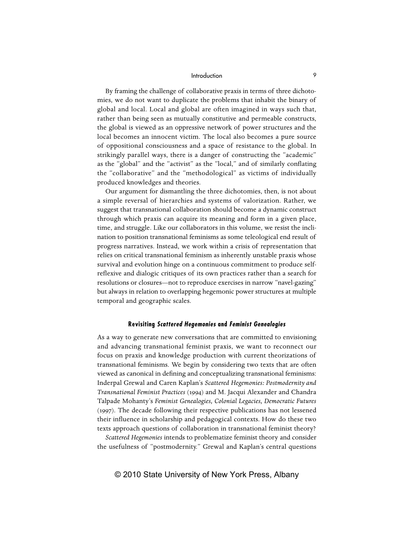By framing the challenge of collaborative praxis in terms of three dichotomies, we do not want to duplicate the problems that inhabit the binary of global and local. Local and global are often imagined in ways such that, rather than being seen as mutually constitutive and permeable constructs, the global is viewed as an oppressive network of power structures and the local becomes an innocent victim. The local also becomes a pure source of oppositional consciousness and a space of resistance to the global. In strikingly parallel ways, there is a danger of constructing the "academic" as the "global" and the "activist" as the "local," and of similarly conflating the "collaborative" and the "methodological" as victims of individually produced knowledges and theories.

Our argument for dismantling the three dichotomies, then, is not about a simple reversal of hierarchies and systems of valorization. Rather, we suggest that transnational collaboration should become a dynamic construct through which praxis can acquire its meaning and form in a given place, time, and struggle. Like our collaborators in this volume, we resist the inclination to position transnational feminisms as some teleological end result of progress narratives. Instead, we work within a crisis of representation that relies on critical transnational feminism as inherently unstable praxis whose survival and evolution hinge on a continuous commitment to produce selfreflexive and dialogic critiques of its own practices rather than a search for resolutions or closures—not to reproduce exercises in narrow "navel-gazing" but always in relation to overlapping hegemonic power structures at multiple temporal and geographic scales.

#### **Revisiting** *Scattered Hegemonies* **and** *Feminist Genealogies*

As a way to generate new conversations that are committed to envisioning and advancing transnational feminist praxis, we want to reconnect our focus on praxis and knowledge production with current theorizations of transnational feminisms. We begin by considering two texts that are often viewed as canonical in defining and conceptualizing transnational feminisms: Inderpal Grewal and Caren Kaplan's *Scattered Hegemonies: Postmodernity and*  Transnational Feminist Practices (1994) and M. Jacqui Alexander and Chandra Talpade Mohanty's *Feminist Genealogies, Colonial Legacies, Democratic Futures* (1997). The decade following their respective publications has not lessened their influence in scholarship and pedagogical contexts. How do these two texts approach questions of collaboration in transnational feminist theory?

*Scattered Hegemonies* intends to problematize feminist theory and consider the usefulness of "postmodernity." Grewal and Kaplan's central questions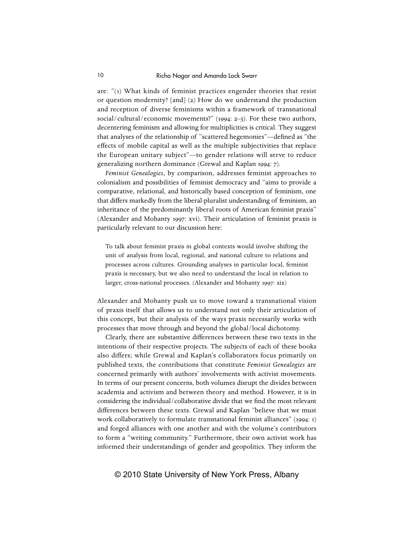are: "(1) What kinds of feminist practices engender theories that resist or question modernity? [and] (2) How do we understand the production and reception of diverse feminisms within a framework of transnational social/cultural/economic movements?" (1994: 2-3). For these two authors, decentering feminism and allowing for multiplicities is critical. They suggest that analyses of the relationship of "scattered hegemonies"—defined as "the effects of mobile capital as well as the multiple subjectivities that replace the European unitary subject"—to gender relations will serve to reduce generalizing northern dominance (Grewal and Kaplan 1994: 7).

*Feminist Genealogies*, by comparison, addresses feminist approaches to colonialism and possibilities of feminist democracy and "aims to provide a comparative, relational, and historically based conception of feminism, one that differs markedly from the liberal-pluralist understanding of feminism, an inheritance of the predominantly liberal roots of American feminist praxis" (Alexander and Mohanty 1997: xvi). Their articulation of feminist praxis is particularly relevant to our discussion here:

To talk about feminist praxis in global contexts would involve shifting the unit of analysis from local, regional, and national culture to relations and processes across cultures. Grounding analyses in particular local, feminist praxis is necessary, but we also need to understand the local in relation to larger, cross-national processes. (Alexander and Mohanty 1997: xix)

Alexander and Mohanty push us to move toward a transnational vision of praxis itself that allows us to understand not only their articulation of this concept, but their analysis of the ways praxis necessarily works with processes that move through and beyond the global/local dichotomy.

Clearly, there are substantive differences between these two texts in the intentions of their respective projects. The subjects of each of these books also differs; while Grewal and Kaplan's collaborators focus primarily on published texts, the contributions that constitute *Feminist Genealogies* are concerned primarily with authors' involvements with activist movements. In terms of our present concerns, both volumes disrupt the divides between academia and activism and between theory and method. However, it is in considering the individual/collaborative divide that we find the most relevant differences between these texts. Grewal and Kaplan "believe that we must work collaboratively to formulate transnational feminist alliances" (1994: 1) and forged alliances with one another and with the volume's contributors to form a "writing community." Furthermore, their own activist work has informed their understandings of gender and geopolitics. They inform the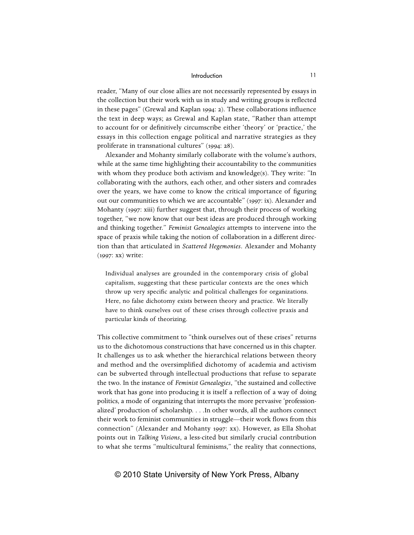reader, "Many of our close allies are not necessarily represented by essays in the collection but their work with us in study and writing groups is reflected in these pages" (Grewal and Kaplan 1994: 2). These collaborations influence the text in deep ways; as Grewal and Kaplan state, "Rather than attempt to account for or definitively circumscribe either 'theory' or 'practice,' the essays in this collection engage political and narrative strategies as they proliferate in transnational cultures" (1994: 28).

Alexander and Mohanty similarly collaborate with the volume's authors, while at the same time highlighting their accountability to the communities with whom they produce both activism and knowledge(s). They write: "In collaborating with the authors, each other, and other sisters and comrades over the years, we have come to know the critical importance of figuring out our communities to which we are accountable" (1997: ix). Alexander and Mohanty (1997: xiii) further suggest that, through their process of working together, "we now know that our best ideas are produced through working and thinking together." *Feminist Genealogies* attempts to intervene into the space of praxis while taking the notion of collaboration in a different direction than that articulated in *Scattered Hegemonies*. Alexander and Mohanty  $(1997: xx)$  write:

Individual analyses are grounded in the contemporary crisis of global capitalism, suggesting that these particular contexts are the ones which throw up very specific analytic and political challenges for organizations. Here, no false dichotomy exists between theory and practice. We literally have to think ourselves out of these crises through collective praxis and particular kinds of theorizing.

This collective commitment to "think ourselves out of these crises" returns us to the dichotomous constructions that have concerned us in this chapter. It challenges us to ask whether the hierarchical relations between theory and method and the oversimplified dichotomy of academia and activism can be subverted through intellectual productions that refuse to separate the two. In the instance of *Feminist Genealogies*, "the sustained and collective work that has gone into producing it is itself a reflection of a way of doing politics, a mode of organizing that interrupts the more pervasive 'professionalized' production of scholarship. . . .In other words, all the authors connect their work to feminist communities in struggle—their work flows from this connection" (Alexander and Mohanty 1997: xx). However, as Ella Shohat points out in *Talking Visions*, a less-cited but similarly crucial contribution to what she terms "multicultural feminisms," the reality that connections,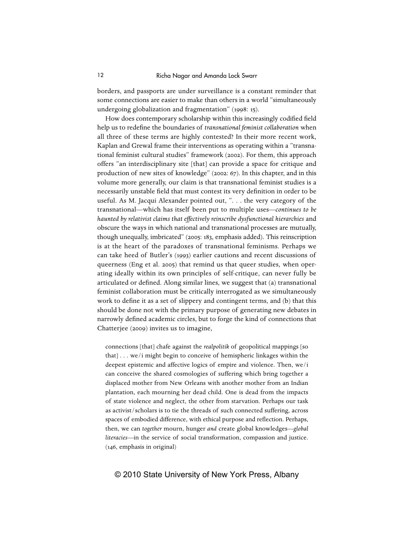borders, and passports are under surveillance is a constant reminder that some connections are easier to make than others in a world "simultaneously undergoing globalization and fragmentation" (1998: 15).

How does contemporary scholarship within this increasingly codified field help us to redefine the boundaries of *transnational feminist collaboration* when all three of these terms are highly contested? In their more recent work, Kaplan and Grewal frame their interventions as operating within a "transnational feminist cultural studies" framework (2002). For them, this approach offers "an interdisciplinary site [that] can provide a space for critique and production of new sites of knowledge" (2002: 67). In this chapter, and in this volume more generally, our claim is that transnational feminist studies is a necessarily unstable field that must contest its very definition in order to be useful. As M. Jacqui Alexander pointed out, ". . . the very category of the transnational—which has itself been put to multiple uses—*continues to be haunted by relativist claims that effectively reinscribe dysfunctional hierarchies* and obscure the ways in which national and transnational processes are mutually, though unequally, imbricated" (2005: 183, emphasis added). This reinscription is at the heart of the paradoxes of transnational feminisms. Perhaps we can take heed of Butler's (1993) earlier cautions and recent discussions of queerness (Eng et al. 2005) that remind us that queer studies, when operating ideally within its own principles of self-critique, can never fully be articulated or defined. Along similar lines, we suggest that  $(a)$  transnational feminist collaboration must be critically interrogated as we simultaneously work to define it as a set of slippery and contingent terms, and (b) that this should be done not with the primary purpose of generating new debates in narrowly defined academic circles, but to forge the kind of connections that Chatterjee (2009) invites us to imagine,

connections [that] chafe against the *realpolitik* of geopolitical mappings [so that] . . . we/i might begin to conceive of hemispheric linkages within the deepest epistemic and affective logics of empire and violence. Then, we/i can conceive the shared cosmologies of suffering which bring together a displaced mother from New Orleans with another mother from an Indian plantation, each mourning her dead child. One is dead from the impacts of state violence and neglect, the other from starvation. Perhaps our task as activist/scholars is to tie the threads of such connected suffering, across spaces of embodied difference, with ethical purpose and reflection. Perhaps, then, we can *together* mourn, hunger *and* create global knowledges—*global literacies*—in the service of social transformation, compassion and justice. (146, emphasis in original)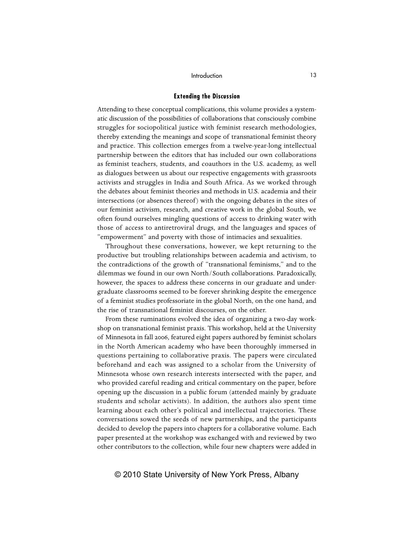#### **Extending the Discussion**

Attending to these conceptual complications, this volume provides a systematic discussion of the possibilities of collaborations that consciously combine struggles for sociopolitical justice with feminist research methodologies, thereby extending the meanings and scope of transnational feminist theory and practice. This collection emerges from a twelve-year-long intellectual partnership between the editors that has included our own collaborations as feminist teachers, students, and coauthors in the U.S. academy, as well as dialogues between us about our respective engagements with grassroots activists and struggles in India and South Africa. As we worked through the debates about feminist theories and methods in U.S. academia and their intersections (or absences thereof) with the ongoing debates in the sites of our feminist activism, research, and creative work in the global South, we often found ourselves mingling questions of access to drinking water with those of access to antiretroviral drugs, and the languages and spaces of "empowerment" and poverty with those of intimacies and sexualities.

Throughout these conversations, however, we kept returning to the productive but troubling relationships between academia and activism, to the contradictions of the growth of "transnational feminisms," and to the dilemmas we found in our own North/South collaborations. Paradoxically, however, the spaces to address these concerns in our graduate and undergraduate classrooms seemed to be forever shrinking despite the emergence of a feminist studies professoriate in the global North, on the one hand, and the rise of transnational feminist discourses, on the other.

From these ruminations evolved the idea of organizing a two-day workshop on transnational feminist praxis. This workshop, held at the University of Minnesota in fall 2006, featured eight papers authored by feminist scholars in the North American academy who have been thoroughly immersed in questions pertaining to collaborative praxis. The papers were circulated beforehand and each was assigned to a scholar from the University of Minnesota whose own research interests intersected with the paper, and who provided careful reading and critical commentary on the paper, before opening up the discussion in a public forum (attended mainly by graduate students and scholar activists). In addition, the authors also spent time learning about each other's political and intellectual trajectories. These conversations sowed the seeds of new partnerships, and the participants decided to develop the papers into chapters for a collaborative volume. Each paper presented at the workshop was exchanged with and reviewed by two other contributors to the collection, while four new chapters were added in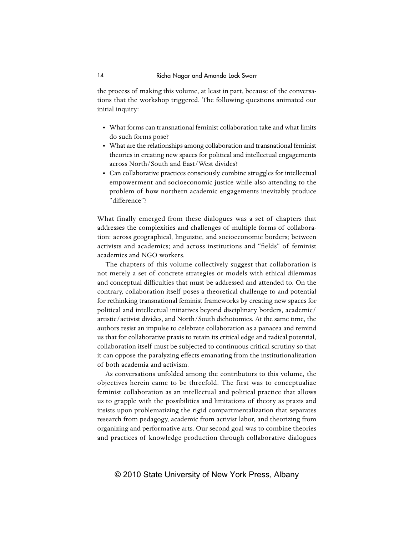the process of making this volume, at least in part, because of the conversations that the workshop triggered. The following questions animated our initial inquiry:

- What forms can transnational feminist collaboration take and what limits do such forms pose?
- What are the relationships among collaboration and transnational feminist theories in creating new spaces for political and intellectual engagements across North/South and East/West divides?
- Can collaborative practices consciously combine struggles for intellectual empowerment and socioeconomic justice while also attending to the problem of how northern academic engagements inevitably produce "difference"?

What finally emerged from these dialogues was a set of chapters that addresses the complexities and challenges of multiple forms of collaboration: across geographical, linguistic, and socioeconomic borders; between activists and academics; and across institutions and "fields" of feminist academics and NGO workers.

The chapters of this volume collectively suggest that collaboration is not merely a set of concrete strategies or models with ethical dilemmas and conceptual difficulties that must be addressed and attended to. On the contrary, collaboration itself poses a theoretical challenge to and potential for rethinking transnational feminist frameworks by creating new spaces for political and intellectual initiatives beyond disciplinary borders, academic/ artistic/activist divides, and North/South dichotomies. At the same time, the authors resist an impulse to celebrate collaboration as a panacea and remind us that for collaborative praxis to retain its critical edge and radical potential, collaboration itself must be subjected to continuous critical scrutiny so that it can oppose the paralyzing effects emanating from the institutionalization of both academia and activism.

As conversations unfolded among the contributors to this volume, the objectives herein came to be threefold. The first was to conceptualize feminist collaboration as an intellectual and political practice that allows us to grapple with the possibilities and limitations of theory as praxis and insists upon problematizing the rigid compartmentalization that separates research from pedagogy, academic from activist labor, and theorizing from organizing and performative arts. Our second goal was to combine theories and practices of knowledge production through collaborative dialogues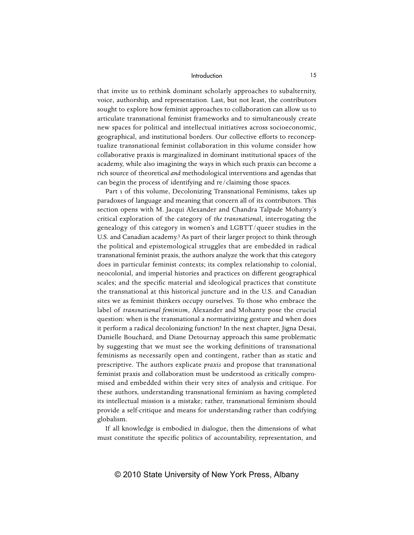that invite us to rethink dominant scholarly approaches to subalternity, voice, authorship, and representation. Last, but not least, the contributors sought to explore how feminist approaches to collaboration can allow us to articulate transnational feminist frameworks and to simultaneously create new spaces for political and intellectual initiatives across socioeconomic, geographical, and institutional borders. Our collective efforts to reconceptualize transnational feminist collaboration in this volume consider how collaborative praxis is marginalized in dominant institutional spaces of the academy, while also imagining the ways in which such praxis can become a rich source of theoretical *and* methodological interventions and agendas that can begin the process of identifying and re/claiming those spaces.

Part 1 of this volume, Decolonizing Transnational Feminisms, takes up paradoxes of language and meaning that concern all of its contributors. This section opens with M. Jacqui Alexander and Chandra Talpade Mohanty's critical exploration of the category of *the transnational*, interrogating the genealogy of this category in women's and LGBTT/queer studies in the U.S. and Canadian academy.<sup>3</sup> As part of their larger project to think through the political and epistemological struggles that are embedded in radical transnational feminist praxis, the authors analyze the work that this category does in particular feminist contexts; its complex relationship to colonial, neocolonial, and imperial histories and practices on different geographical scales; and the specific material and ideological practices that constitute the transnational at this historical juncture and in the U.S. and Canadian sites we as feminist thinkers occupy ourselves. To those who embrace the label of *transnational feminism*, Alexander and Mohanty pose the crucial question: when is the transnational a normativizing gesture and when does it perform a radical decolonizing function? In the next chapter, Jigna Desai, Danielle Bouchard, and Diane Detournay approach this same problematic by suggesting that we must see the working definitions of transnational feminisms as necessarily open and contingent, rather than as static and prescriptive. The authors explicate *praxis* and propose that transnational feminist praxis and collaboration must be understood as critically compromised and embedded within their very sites of analysis and critique. For these authors, understanding transnational feminism as having completed its intellectual mission is a mistake; rather, transnational feminism should provide a self-critique and means for understanding rather than codifying globalism.

If all knowledge is embodied in dialogue, then the dimensions of what must constitute the specific politics of accountability, representation, and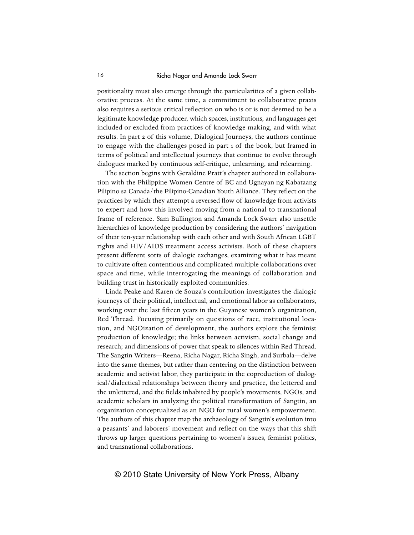positionality must also emerge through the particularities of a given collaborative process. At the same time, a commitment to collaborative praxis also requires a serious critical reflection on who is or is not deemed to be a legitimate knowledge producer, which spaces, institutions, and languages get included or excluded from practices of knowledge making, and with what results. In part 2 of this volume, Dialogical Journeys, the authors continue to engage with the challenges posed in part 1 of the book, but framed in terms of political and intellectual journeys that continue to evolve through dialogues marked by continuous self-critique, unlearning, and relearning.

The section begins with Geraldine Pratt's chapter authored in collaboration with the Philippine Women Centre of BC and Ugnayan ng Kabataang Pilipino sa Canada/the Filipino-Canadian Youth Alliance. They reflect on the practices by which they attempt a reversed flow of knowledge from activists to expert and how this involved moving from a national to transnational frame of reference. Sam Bullington and Amanda Lock Swarr also unsettle hierarchies of knowledge production by considering the authors' navigation of their ten-year relationship with each other and with South African LGBT rights and HIV/AIDS treatment access activists. Both of these chapters present different sorts of dialogic exchanges, examining what it has meant to cultivate often contentious and complicated multiple collaborations over space and time, while interrogating the meanings of collaboration and building trust in historically exploited communities.

Linda Peake and Karen de Souza's contribution investigates the dialogic journeys of their political, intellectual, and emotional labor as collaborators, working over the last fifteen years in the Guyanese women's organization, Red Thread. Focusing primarily on questions of race, institutional location, and NGOization of development, the authors explore the feminist production of knowledge; the links between activism, social change and research; and dimensions of power that speak to silences within Red Thread. The Sangtin Writers—Reena, Richa Nagar, Richa Singh, and Surbala—delve into the same themes, but rather than centering on the distinction between academic and activist labor, they participate in the coproduction of dialogical/dialectical relationships between theory and practice, the lettered and the unlettered, and the fields inhabited by people's movements, NGOs, and academic scholars in analyzing the political transformation of Sangtin, an organization conceptualized as an NGO for rural women's empowerment. The authors of this chapter map the archaeology of Sangtin's evolution into a peasants' and laborers' movement and reflect on the ways that this shift throws up larger questions pertaining to women's issues, feminist politics, and transnational collaborations.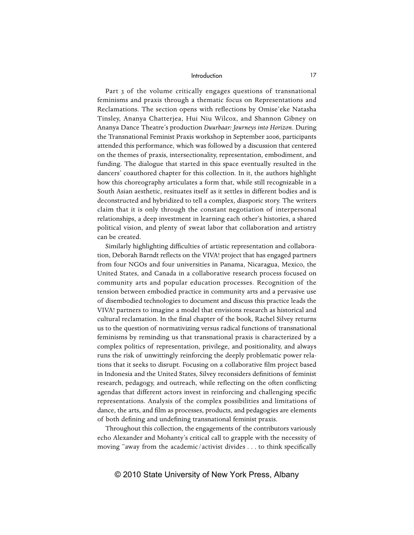Part 3 of the volume critically engages questions of transnational feminisms and praxis through a thematic focus on Representations and Reclamations. The section opens with reflections by Omise'eke Natasha Tinsley, Ananya Chatterjea, Hui Niu Wilcox, and Shannon Gibney on Ananya Dance Theatre's production *Duurbaar: Journeys into Horizon*. During the Transnational Feminist Praxis workshop in September 2006, participants attended this performance, which was followed by a discussion that centered on the themes of praxis, intersectionality, representation, embodiment, and funding. The dialogue that started in this space eventually resulted in the dancers' coauthored chapter for this collection. In it, the authors highlight how this choreography articulates a form that, while still recognizable in a South Asian aesthetic, resituates itself as it settles in different bodies and is deconstructed and hybridized to tell a complex, diasporic story. The writers claim that it is only through the constant negotiation of interpersonal relationships, a deep investment in learning each other's histories, a shared political vision, and plenty of sweat labor that collaboration and artistry can be created.

Similarly highlighting difficulties of artistic representation and collaboration, Deborah Barndt reflects on the VIVA! project that has engaged partners from four NGOs and four universities in Panama, Nicaragua, Mexico, the United States, and Canada in a collaborative research process focused on community arts and popular education processes. Recognition of the tension between embodied practice in community arts and a pervasive use of disembodied technologies to document and discuss this practice leads the VIVA! partners to imagine a model that envisions research as historical and cultural reclamation. In the final chapter of the book, Rachel Silvey returns us to the question of normativizing versus radical functions of transnational feminisms by reminding us that transnational praxis is characterized by a complex politics of representation, privilege, and positionality, and always runs the risk of unwittingly reinforcing the deeply problematic power relations that it seeks to disrupt. Focusing on a collaborative film project based in Indonesia and the United States, Silvey reconsiders definitions of feminist research, pedagogy, and outreach, while reflecting on the often conflicting agendas that different actors invest in reinforcing and challenging specific representations. Analysis of the complex possibilities and limitations of dance, the arts, and film as processes, products, and pedagogies are elements of both defining and undefining transnational feminist praxis.

Throughout this collection, the engagements of the contributors variously echo Alexander and Mohanty's critical call to grapple with the necessity of moving "away from the academic/activist divides . . . to think specifically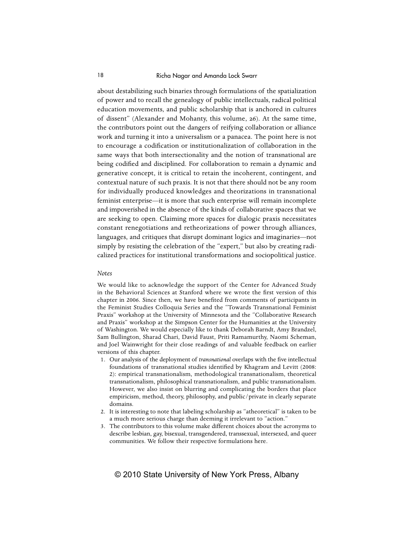about destabilizing such binaries through formulations of the spatialization of power and to recall the genealogy of public intellectuals, radical political education movements, and public scholarship that is anchored in cultures of dissent" (Alexander and Mohanty, this volume, 26). At the same time, the contributors point out the dangers of reifying collaboration or alliance work and turning it into a universalism or a panacea. The point here is not to encourage a codification or institutionalization of collaboration in the same ways that both intersectionality and the notion of transnational are being codified and disciplined. For collaboration to remain a dynamic and generative concept, it is critical to retain the incoherent, contingent, and contextual nature of such praxis. It is not that there should not be any room for individually produced knowledges and theorizations in transnational feminist enterprise—it is more that such enterprise will remain incomplete and impoverished in the absence of the kinds of collaborative spaces that we are seeking to open. Claiming more spaces for dialogic praxis necessitates constant renegotiations and retheorizations of power through alliances, languages, and critiques that disrupt dominant logics and imaginaries—not simply by resisting the celebration of the "expert," but also by creating radicalized practices for institutional transformations and sociopolitical justice.

#### *Notes*

We would like to acknowledge the support of the Center for Advanced Study in the Behavioral Sciences at Stanford where we wrote the first version of this chapter in 2006. Since then, we have benefited from comments of participants in the Feminist Studies Colloquia Series and the "Towards Transnational Feminist Praxis" workshop at the University of Minnesota and the "Collaborative Research and Praxis" workshop at the Simpson Center for the Humanities at the University of Washington. We would especially like to thank Deborah Barndt, Amy Brandzel, Sam Bullington, Sharad Chari, David Faust, Priti Ramamurthy, Naomi Scheman, and Joel Wainwright for their close readings of and valuable feedback on earlier versions of this chapter.

- 1. Our analysis of the deployment of *transnational* overlaps with the five intellectual foundations of transnational studies identified by Khagram and Levitt (2008: 2): empirical transnationalism, methodological transnationalism, theoretical transnationalism, philosophical transnationalism, and public transnationalism. However, we also insist on blurring and complicating the borders that place empiricism, method, theory, philosophy, and public/private in clearly separate domains.
- 2. It is interesting to note that labeling scholarship as "atheoretical" is taken to be a much more serious charge than deeming it irrelevant to "action."
- 3. The contributors to this volume make different choices about the acronyms to describe lesbian, gay, bisexual, transgendered, transsexual, intersexed, and queer communities. We follow their respective formulations here.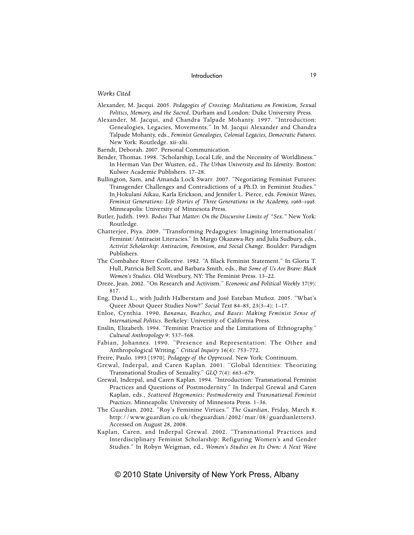#### *Works Cited*

- Alexander, M. Jacqui. 2005. *Pedagogies of Crossing: Meditations on Feminism, Sexual Politics, Memory, and the Sacred*. Durham and London: Duke University Press.
- Alexander, M. Jacqui, and Chandra Talpade Mohanty. 1997. "Introduction: Genealogies, Legacies, Movements." In M. Jacqui Alexander and Chandra Talpade Mohanty, eds., *Feminist Genealogies, Colonial Legacies, Democratic Futures.*  New York: Routledge. xii–xlii.
- Barndt, Deborah. 2007. Personal Communication.
- Bender, Thomas. 1998. "Scholarship, Local Life, and the Necessity of Worldliness." In Herman Van Der Wusten, ed., *The Urban University and Its Identity*. Boston: Kulwer Academic Publishers. 17–28.
- Bullington, Sam, and Amanda Lock Swarr. 2007. "Negotiating Feminist Futures: Transgender Challenges and Contradictions of a Ph.D. in Feminist Studies." In Hokulani Aikau, Karla Erickson, and Jennifer L. Pierce, eds. *Feminist Waves, Feminist Generations: Life Stories of Three Generations in the Academy, 1968–1998.* Minneapolis: University of Minnesota Press.
- Butler, Judith. 1993. *Bodies That Matter: On the Discursive Limits of "Sex."* New York: Routledge.
- Chatterjee, Piya. 2009. "Transforming Pedagogies: Imagining Internationalist/ Feminist/Antiracist Literacies." In Margo Okazawa-Rey and Julia Sudbury, eds., *Activist Scholarship: Antiracism, Feminism, and Social Change*. Boulder: Paradigm Publishers.
- The Combahee River Collective. 1982. "A Black Feminist Statement." In Gloria T. Hull, Patricia Bell Scott, and Barbara Smith, eds., *But Some of Us Are Brave: Black Women's Studies*. Old Westbury, NY: The Feminist Press. 13–22.
- Dreze, Jean. 2002. "On Research and Activism." *Economic and Political Weekly* 37(9): 817.
- Eng, David L., with Judith Halberstam and José Esteban Muñoz. 2005. "What's Queer About Queer Studies Now?" *Social Text* 84–85, 23(3–4): 1–17.
- Enloe, Cynthia. 1990. *Bananas, Beaches, and Bases: Making Feminist Sense of International Politics*. Berkeley: University of California Press.
- Enslin, Elizabeth. 1994. "Feminist Practice and the Limitations of Ethnography." *Cultural Anthropology* 9: 537–568.
- Fabian, Johannes. 1990. "Presence and Representation: The Other and Anthropological Writing." *Critical Inquiry* 16(4): 753–772.
- Freire, Paulo. 1993 [1970]. *Pedagogy of the Oppressed*. New York: Continuum.
- Grewal, Inderpal, and Caren Kaplan. 2001. "Global Identities: Theorizing Transnational Studies of Sexuality." *GLQ* 7(4): 663–679.
- Grewal, Inderpal, and Caren Kaplan. 1994. "Introduction: Transnational Feminist Practices and Questions of Postmodernity." In Inderpal Grewal and Caren Kaplan, eds., *Scattered Hegemonies: Postmodernity and Transnational Feminist Practices*. Minneapolis: University of Minnesota Press. 1–36.
- The Guardian. 2002. "Roy's Feminine Virtues." *The Guardian*, Friday, March 8. http://www.guardian.co.uk/theguardian/2002/mar/08/guardianletters3. Accessed on August 28, 2008.
- Kaplan, Caren, and Inderpal Grewal. 2002. "Transnational Practices and Interdisciplinary Feminist Scholarship: Refiguring Women's and Gender Studies." In Robyn Weigman, ed., *Women's Studies on Its Own: A Next Wave*